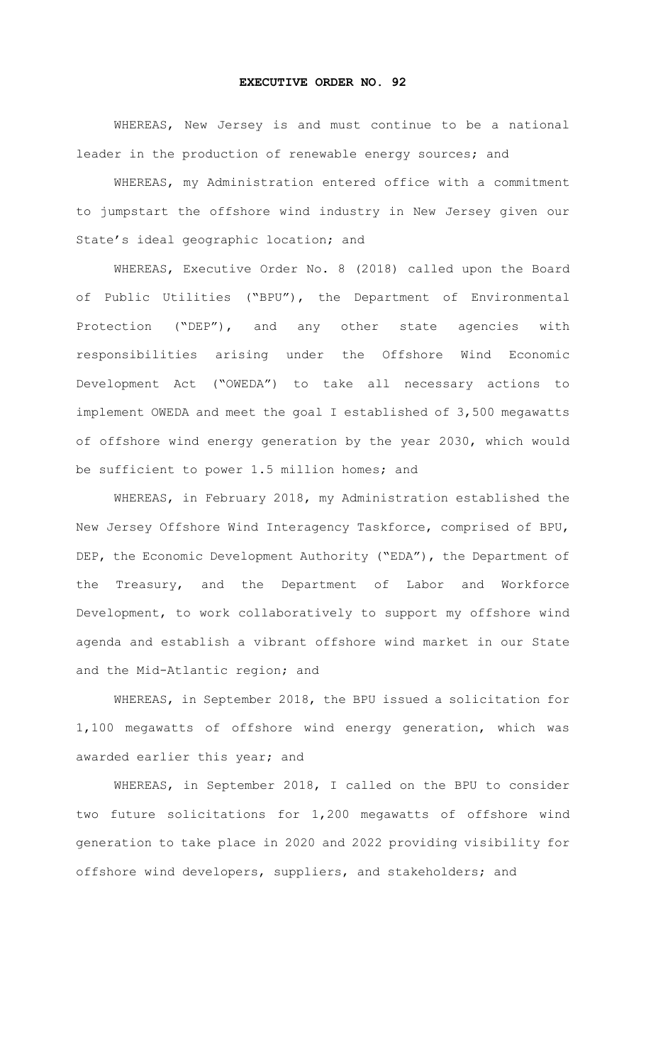## **EXECUTIVE ORDER NO. 92**

WHEREAS, New Jersey is and must continue to be a national leader in the production of renewable energy sources; and

WHEREAS, my Administration entered office with a commitment to jumpstart the offshore wind industry in New Jersey given our State's ideal geographic location; and

WHEREAS, Executive Order No. 8 (2018) called upon the Board of Public Utilities ("BPU"), the Department of Environmental Protection ("DEP"), and any other state agencies with responsibilities arising under the Offshore Wind Economic Development Act ("OWEDA") to take all necessary actions to implement OWEDA and meet the goal I established of 3,500 megawatts of offshore wind energy generation by the year 2030, which would be sufficient to power 1.5 million homes; and

WHEREAS, in February 2018, my Administration established the New Jersey Offshore Wind Interagency Taskforce, comprised of BPU, DEP, the Economic Development Authority ("EDA"), the Department of the Treasury, and the Department of Labor and Workforce Development, to work collaboratively to support my offshore wind agenda and establish a vibrant offshore wind market in our State and the Mid-Atlantic region; and

WHEREAS, in September 2018, the BPU issued a solicitation for 1,100 megawatts of offshore wind energy generation, which was awarded earlier this year; and

WHEREAS, in September 2018, I called on the BPU to consider two future solicitations for 1,200 megawatts of offshore wind generation to take place in 2020 and 2022 providing visibility for offshore wind developers, suppliers, and stakeholders; and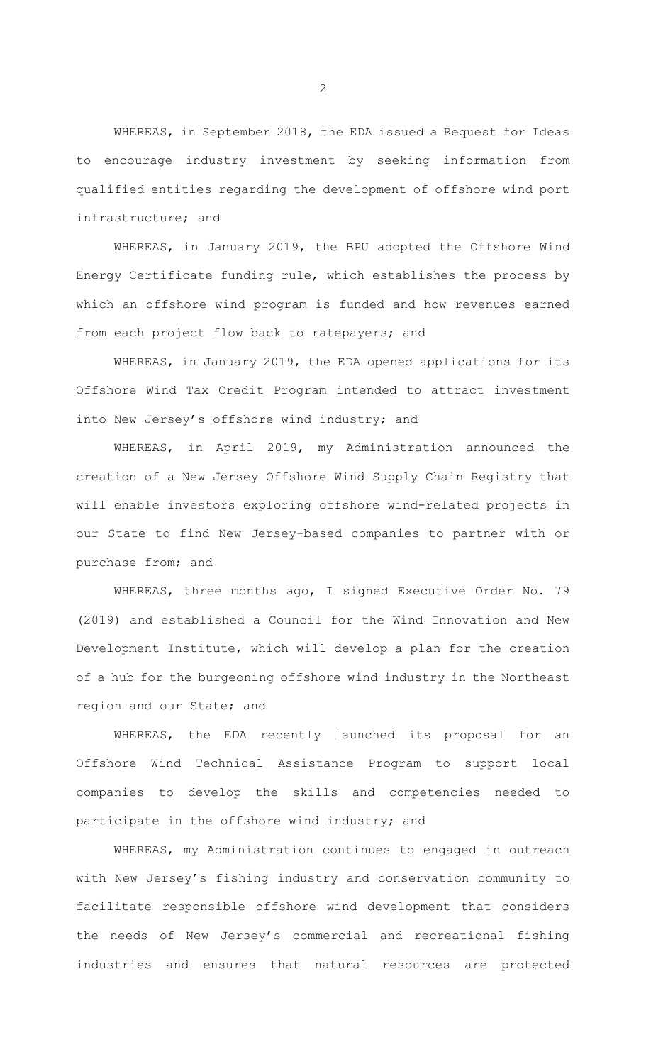WHEREAS, in September 2018, the EDA issued a Request for Ideas to encourage industry investment by seeking information from qualified entities regarding the development of offshore wind port infrastructure; and

WHEREAS, in January 2019, the BPU adopted the Offshore Wind Energy Certificate funding rule, which establishes the process by which an offshore wind program is funded and how revenues earned from each project flow back to ratepayers; and

WHEREAS, in January 2019, the EDA opened applications for its Offshore Wind Tax Credit Program intended to attract investment into New Jersey's offshore wind industry; and

WHEREAS, in April 2019, my Administration announced the creation of a New Jersey Offshore Wind Supply Chain Registry that will enable investors exploring offshore wind-related projects in our State to find New Jersey-based companies to partner with or purchase from; and

WHEREAS, three months ago, I signed Executive Order No. 79 (2019) and established a Council for the Wind Innovation and New Development Institute, which will develop a plan for the creation of a hub for the burgeoning offshore wind industry in the Northeast region and our State; and

WHEREAS, the EDA recently launched its proposal for an Offshore Wind Technical Assistance Program to support local companies to develop the skills and competencies needed to participate in the offshore wind industry; and

WHEREAS, my Administration continues to engaged in outreach with New Jersey's fishing industry and conservation community to facilitate responsible offshore wind development that considers the needs of New Jersey's commercial and recreational fishing industries and ensures that natural resources are protected

2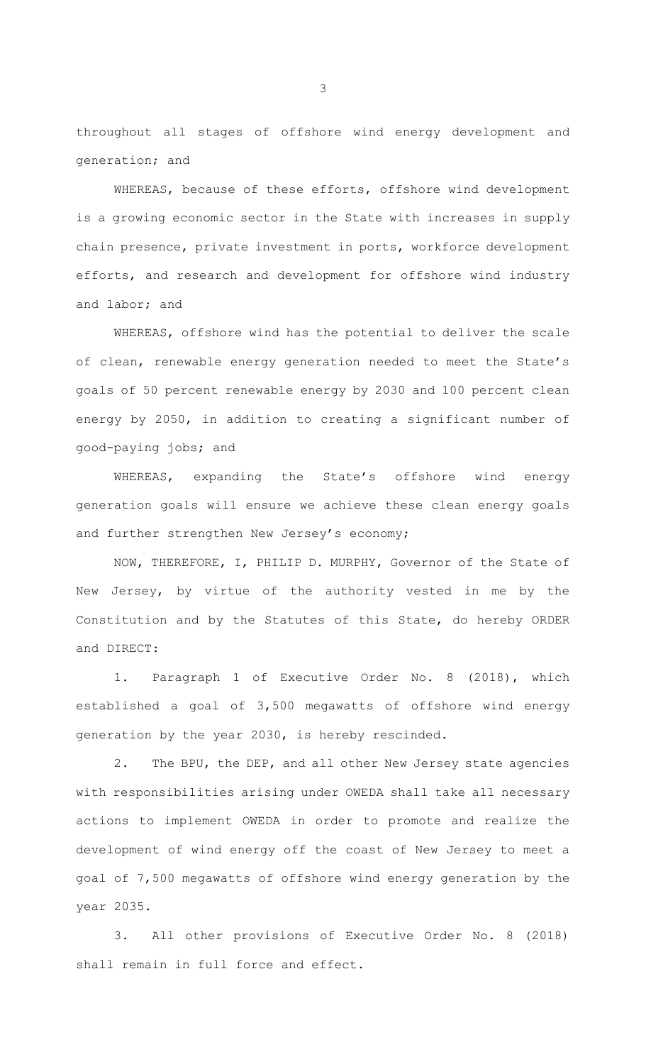throughout all stages of offshore wind energy development and generation; and

WHEREAS, because of these efforts, offshore wind development is a growing economic sector in the State with increases in supply chain presence, private investment in ports, workforce development efforts, and research and development for offshore wind industry and labor; and

WHEREAS, offshore wind has the potential to deliver the scale of clean, renewable energy generation needed to meet the State's goals of 50 percent renewable energy by 2030 and 100 percent clean energy by 2050, in addition to creating a significant number of good-paying jobs; and

WHEREAS, expanding the State's offshore wind energy generation goals will ensure we achieve these clean energy goals and further strengthen New Jersey's economy;

NOW, THEREFORE, I, PHILIP D. MURPHY, Governor of the State of New Jersey, by virtue of the authority vested in me by the Constitution and by the Statutes of this State, do hereby ORDER and DIRECT:

1. Paragraph 1 of Executive Order No. 8 (2018), which established a goal of 3,500 megawatts of offshore wind energy generation by the year 2030, is hereby rescinded.

2. The BPU, the DEP, and all other New Jersey state agencies with responsibilities arising under OWEDA shall take all necessary actions to implement OWEDA in order to promote and realize the development of wind energy off the coast of New Jersey to meet a goal of 7,500 megawatts of offshore wind energy generation by the year 2035.

3. All other provisions of Executive Order No. 8 (2018) shall remain in full force and effect.

3